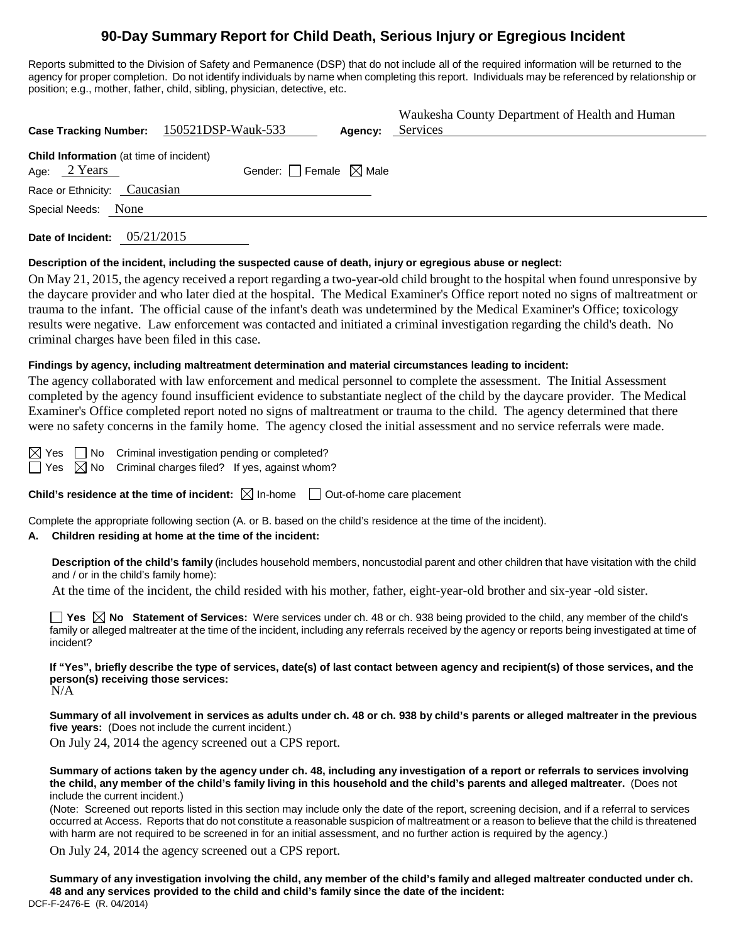## **90-Day Summary Report for Child Death, Serious Injury or Egregious Incident**

Reports submitted to the Division of Safety and Permanence (DSP) that do not include all of the required information will be returned to the agency for proper completion. Do not identify individuals by name when completing this report. Individuals may be referenced by relationship or position; e.g., mother, father, child, sibling, physician, detective, etc.

| Case Tracking Number: 150521DSP-Wauk-533                                                     | Agency: | Waukesha County Department of Health and Human<br>Services |  |  |  |  |
|----------------------------------------------------------------------------------------------|---------|------------------------------------------------------------|--|--|--|--|
| Child Information (at time of incident)<br>Gender: Female $\boxtimes$ Male<br>Age: $2$ Years |         |                                                            |  |  |  |  |
| Race or Ethnicity: Caucasian                                                                 |         |                                                            |  |  |  |  |
| Special Needs: None                                                                          |         |                                                            |  |  |  |  |
|                                                                                              |         |                                                            |  |  |  |  |

**Date of Incident:** 05/21/2015

#### **Description of the incident, including the suspected cause of death, injury or egregious abuse or neglect:**

On May 21, 2015, the agency received a report regarding a two-year-old child brought to the hospital when found unresponsive by the daycare provider and who later died at the hospital. The Medical Examiner's Office report noted no signs of maltreatment or trauma to the infant. The official cause of the infant's death was undetermined by the Medical Examiner's Office; toxicology results were negative. Law enforcement was contacted and initiated a criminal investigation regarding the child's death. No criminal charges have been filed in this case.

#### **Findings by agency, including maltreatment determination and material circumstances leading to incident:**

The agency collaborated with law enforcement and medical personnel to complete the assessment. The Initial Assessment completed by the agency found insufficient evidence to substantiate neglect of the child by the daycare provider. The Medical Examiner's Office completed report noted no signs of maltreatment or trauma to the child. The agency determined that there were no safety concerns in the family home. The agency closed the initial assessment and no service referrals were made.

 $\boxtimes$  Yes  $\Box$  No Criminal investigation pending or completed?

 $\Box$  Yes  $\boxtimes$  No Criminal charges filed? If yes, against whom?

**Child's residence at the time of incident:**  $\boxtimes$  In-home  $\Box$  Out-of-home care placement

Complete the appropriate following section (A. or B. based on the child's residence at the time of the incident).

### **A. Children residing at home at the time of the incident:**

**Description of the child's family** (includes household members, noncustodial parent and other children that have visitation with the child and / or in the child's family home):

At the time of the incident, the child resided with his mother, father, eight-year-old brother and six-year -old sister.

**Yes X No Statement of Services:** Were services under ch. 48 or ch. 938 being provided to the child, any member of the child's family or alleged maltreater at the time of the incident, including any referrals received by the agency or reports being investigated at time of incident?

**If "Yes", briefly describe the type of services, date(s) of last contact between agency and recipient(s) of those services, and the person(s) receiving those services:** N/A

**Summary of all involvement in services as adults under ch. 48 or ch. 938 by child's parents or alleged maltreater in the previous**  five years: (Does not include the current incident.)

On July 24, 2014 the agency screened out a CPS report.

**Summary of actions taken by the agency under ch. 48, including any investigation of a report or referrals to services involving the child, any member of the child's family living in this household and the child's parents and alleged maltreater.** (Does not include the current incident.)

(Note: Screened out reports listed in this section may include only the date of the report, screening decision, and if a referral to services occurred at Access. Reports that do not constitute a reasonable suspicion of maltreatment or a reason to believe that the child is threatened with harm are not required to be screened in for an initial assessment, and no further action is required by the agency.)

On July 24, 2014 the agency screened out a CPS report.

**Summary of any investigation involving the child, any member of the child's family and alleged maltreater conducted under ch. 48 and any services provided to the child and child's family since the date of the incident:** DCF-F-2476-E (R. 04/2014)